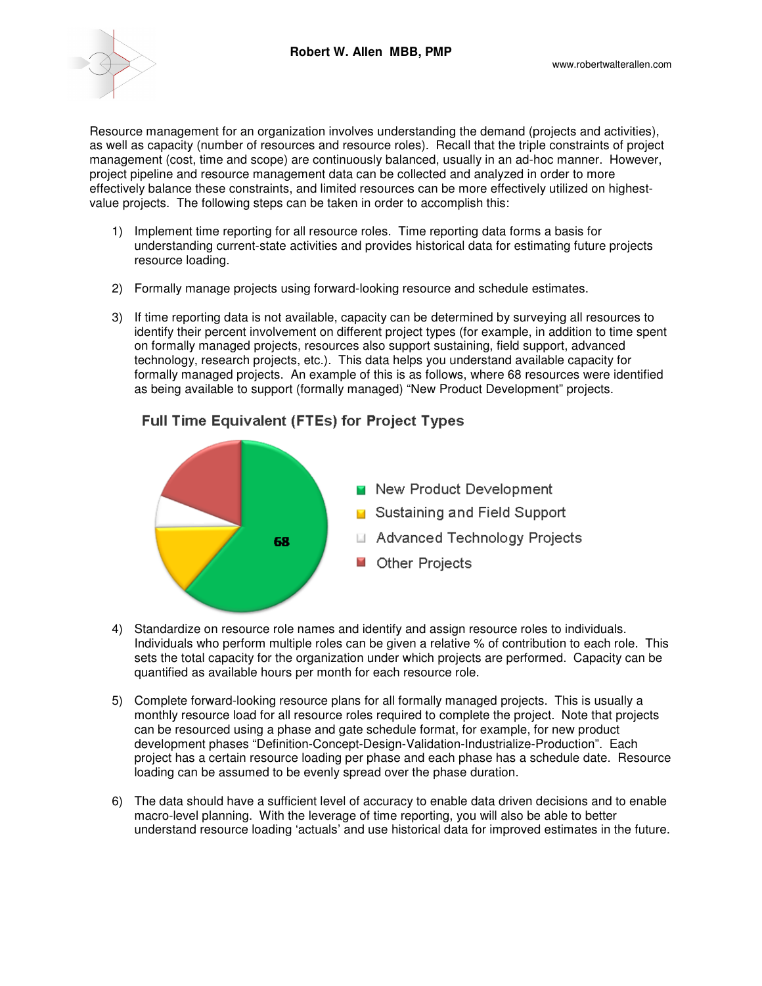

Resource management for an organization involves understanding the demand (projects and activities), as well as capacity (number of resources and resource roles). Recall that the triple constraints of project management (cost, time and scope) are continuously balanced, usually in an ad-hoc manner. However, project pipeline and resource management data can be collected and analyzed in order to more effectively balance these constraints, and limited resources can be more effectively utilized on highestvalue projects. The following steps can be taken in order to accomplish this:

- 1) Implement time reporting for all resource roles. Time reporting data forms a basis for understanding current-state activities and provides historical data for estimating future projects resource loading.
- 2) Formally manage projects using forward-looking resource and schedule estimates.
- 3) If time reporting data is not available, capacity can be determined by surveying all resources to identify their percent involvement on different project types (for example, in addition to time spent on formally managed projects, resources also support sustaining, field support, advanced technology, research projects, etc.). This data helps you understand available capacity for formally managed projects. An example of this is as follows, where 68 resources were identified as being available to support (formally managed) "New Product Development" projects.



**Full Time Equivalent (FTEs) for Project Types** 

- 4) Standardize on resource role names and identify and assign resource roles to individuals. Individuals who perform multiple roles can be given a relative % of contribution to each role. This sets the total capacity for the organization under which projects are performed. Capacity can be quantified as available hours per month for each resource role.
- 5) Complete forward-looking resource plans for all formally managed projects. This is usually a monthly resource load for all resource roles required to complete the project. Note that projects can be resourced using a phase and gate schedule format, for example, for new product development phases "Definition-Concept-Design-Validation-Industrialize-Production". Each project has a certain resource loading per phase and each phase has a schedule date. Resource loading can be assumed to be evenly spread over the phase duration.
- 6) The data should have a sufficient level of accuracy to enable data driven decisions and to enable macro-level planning. With the leverage of time reporting, you will also be able to better understand resource loading 'actuals' and use historical data for improved estimates in the future.